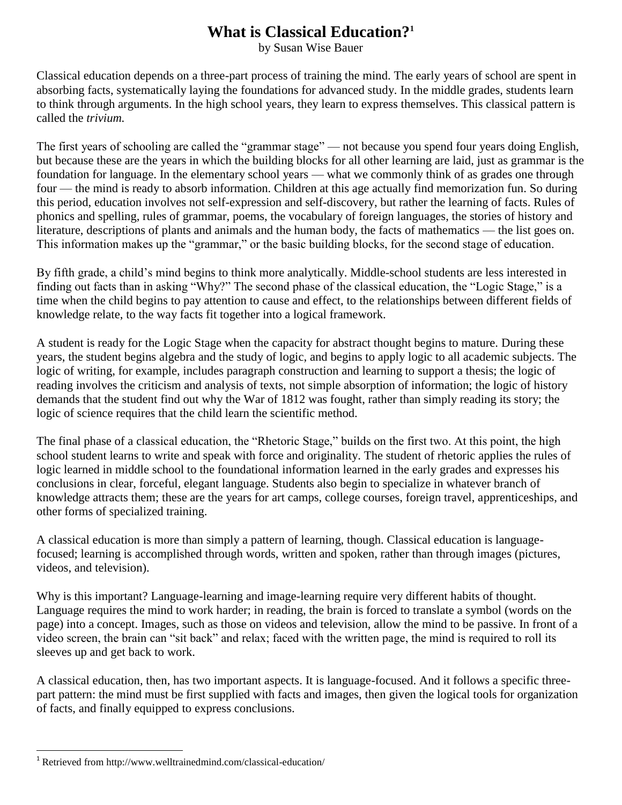## **What is Classical Education?<sup>1</sup>**

by Susan Wise Bauer

Classical education depends on a three-part process of training the mind. The early years of school are spent in absorbing facts, systematically laying the foundations for advanced study. In the middle grades, students learn to think through arguments. In the high school years, they learn to express themselves. This classical pattern is called the *trivium.*

The first years of schooling are called the "grammar stage" — not because you spend four years doing English, but because these are the years in which the building blocks for all other learning are laid, just as grammar is the foundation for language. In the elementary school years — what we commonly think of as grades one through four — the mind is ready to absorb information. Children at this age actually find memorization fun. So during this period, education involves not self-expression and self-discovery, but rather the learning of facts. Rules of phonics and spelling, rules of grammar, poems, the vocabulary of foreign languages, the stories of history and literature, descriptions of plants and animals and the human body, the facts of mathematics — the list goes on. This information makes up the "grammar," or the basic building blocks, for the second stage of education.

By fifth grade, a child's mind begins to think more analytically. Middle-school students are less interested in finding out facts than in asking "Why?" The second phase of the classical education, the "Logic Stage," is a time when the child begins to pay attention to cause and effect, to the relationships between different fields of knowledge relate, to the way facts fit together into a logical framework.

A student is ready for the Logic Stage when the capacity for abstract thought begins to mature. During these years, the student begins algebra and the study of logic, and begins to apply logic to all academic subjects. The logic of writing, for example, includes paragraph construction and learning to support a thesis; the logic of reading involves the criticism and analysis of texts, not simple absorption of information; the logic of history demands that the student find out why the War of 1812 was fought, rather than simply reading its story; the logic of science requires that the child learn the scientific method.

The final phase of a classical education, the "Rhetoric Stage," builds on the first two. At this point, the high school student learns to write and speak with force and originality. The student of rhetoric applies the rules of logic learned in middle school to the foundational information learned in the early grades and expresses his conclusions in clear, forceful, elegant language. Students also begin to specialize in whatever branch of knowledge attracts them; these are the years for art camps, college courses, foreign travel, apprenticeships, and other forms of specialized training.

A classical education is more than simply a pattern of learning, though. Classical education is languagefocused; learning is accomplished through words, written and spoken, rather than through images (pictures, videos, and television).

Why is this important? Language-learning and image-learning require very different habits of thought. Language requires the mind to work harder; in reading, the brain is forced to translate a symbol (words on the page) into a concept. Images, such as those on videos and television, allow the mind to be passive. In front of a video screen, the brain can "sit back" and relax; faced with the written page, the mind is required to roll its sleeves up and get back to work.

A classical education, then, has two important aspects. It is language-focused. And it follows a specific threepart pattern: the mind must be first supplied with facts and images, then given the logical tools for organization of facts, and finally equipped to express conclusions.

 $\overline{\phantom{a}}$ 

<sup>&</sup>lt;sup>1</sup> Retrieved from http://www.welltrainedmind.com/classical-education/